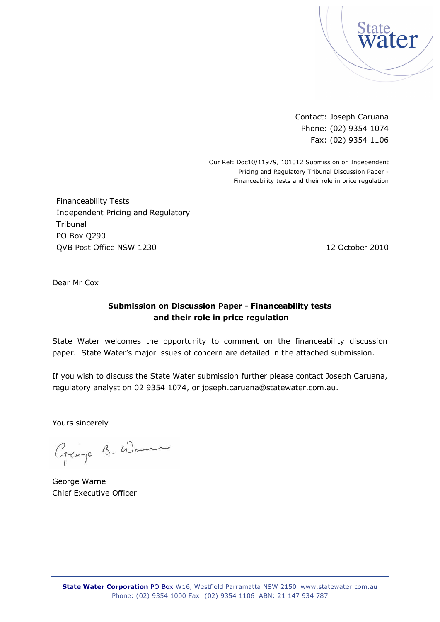

Contact: Joseph Caruana Phone: (02) 9354 1074 Fax: (02) 9354 1106

Our Ref: Doc10/11979, 101012 Submission on Independent Pricing and Regulatory Tribunal Discussion Paper - Financeability tests and their role in price regulation

Financeability Tests Independent Pricing and Regulatory **Tribunal** PO Box Q290 QVB Post Office NSW 1230 12 October 2010

Dear Mr Cox

### **Submission on Discussion Paper - Financeability tests and their role in price regulation**

State Water welcomes the opportunity to comment on the financeability discussion paper. State Water's major issues of concern are detailed in the attached submission.

If you wish to discuss the State Water submission further please contact Joseph Caruana, regulatory analyst on 02 9354 1074, or [joseph.caruana@statewater.com.au.](mailto:joseph.caruana@statewater.com.au.)

Yours sincerely

Grange B. Wann

George Warne Chief Executive Officer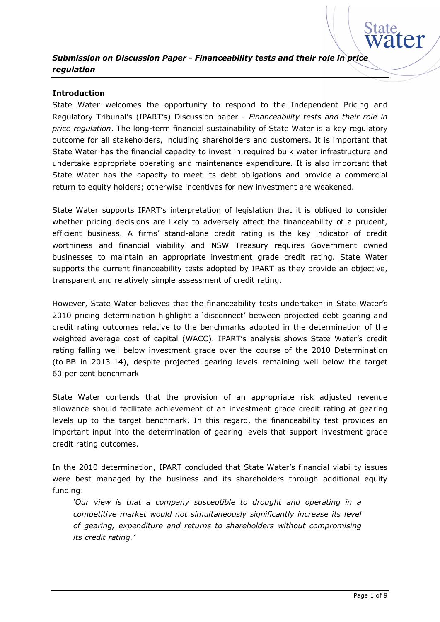#### **Introduction**

State Water welcomes the opportunity to respond to the Independent Pricing and Regulatory Tribunal's (IPART's) Discussion paper - *Financeability tests and their role in price regulation*. The long-term financial sustainability of State Water is a key regulatory outcome for all stakeholders, including shareholders and customers. It is important that State Water has the financial capacity to invest in required bulk water infrastructure and undertake appropriate operating and maintenance expenditure. It is also important that State Water has the capacity to meet its debt obligations and provide a commercial return to equity holders; otherwise incentives for new investment are weakened.

State Water supports IPART's interpretation of legislation that it is obliged to consider whether pricing decisions are likely to adversely affect the financeability of a prudent, efficient business. A firms' stand-alone credit rating is the key indicator of credit worthiness and financial viability and NSW Treasury requires Government owned businesses to maintain an appropriate investment grade credit rating. State Water supports the current financeability tests adopted by IPART as they provide an objective, transparent and relatively simple assessment of credit rating.

However, State Water believes that the financeability tests undertaken in State Water's 2010 pricing determination highlight a 'disconnect' between projected debt gearing and credit rating outcomes relative to the benchmarks adopted in the determination of the weighted average cost of capital (WACC). IPART's analysis shows State Water's credit rating falling well below investment grade over the course of the 2010 Determination (to BB in 2013-14), despite projected gearing levels remaining well below the target 60 per cent benchmark

State Water contends that the provision of an appropriate risk adjusted revenue allowance should facilitate achievement of an investment grade credit rating at gearing levels up to the target benchmark. In this regard, the financeability test provides an important input into the determination of gearing levels that support investment grade credit rating outcomes.

In the 2010 determination, IPART concluded that State Water's financial viability issues were best managed by the business and its shareholders through additional equity funding:

*'Our view is that a company susceptible to drought and operating in a competitive market would not simultaneously significantly increase its level of gearing, expenditure and returns to shareholders without compromising its credit rating.'*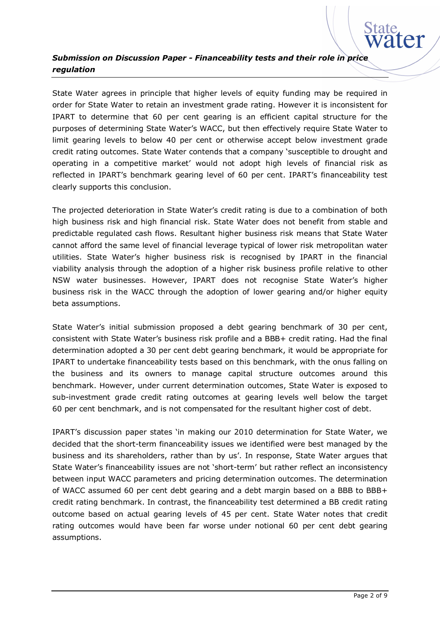

State Water agrees in principle that higher levels of equity funding may be required in order for State Water to retain an investment grade rating. However it is inconsistent for IPART to determine that 60 per cent gearing is an efficient capital structure for the purposes of determining State Water's WACC, but then effectively require State Water to limit gearing levels to below 40 per cent or otherwise accept below investment grade credit rating outcomes. State Water contends that a company 'susceptible to drought and operating in a competitive market' would not adopt high levels of financial risk as reflected in IPART's benchmark gearing level of 60 per cent. IPART's financeability test clearly supports this conclusion.

The projected deterioration in State Water's credit rating is due to a combination of both high business risk and high financial risk. State Water does not benefit from stable and predictable regulated cash flows. Resultant higher business risk means that State Water cannot afford the same level of financial leverage typical of lower risk metropolitan water utilities. State Water's higher business risk is recognised by IPART in the financial viability analysis through the adoption of a higher risk business profile relative to other NSW water businesses. However, IPART does not recognise State Water's higher business risk in the WACC through the adoption of lower gearing and/or higher equity beta assumptions.

State Water's initial submission proposed a debt gearing benchmark of 30 per cent, consistent with State Water's business risk profile and a BBB+ credit rating. Had the final determination adopted a 30 per cent debt gearing benchmark, it would be appropriate for IPART to undertake financeability tests based on this benchmark, with the onus falling on the business and its owners to manage capital structure outcomes around this benchmark. However, under current determination outcomes, State Water is exposed to sub-investment grade credit rating outcomes at gearing levels well below the target 60 per cent benchmark, and is not compensated for the resultant higher cost of debt.

IPART's discussion paper states 'in making our 2010 determination for State Water, we decided that the short-term financeability issues we identified were best managed by the business and its shareholders, rather than by us'. In response, State Water argues that State Water's financeability issues are not 'short-term' but rather reflect an inconsistency between input WACC parameters and pricing determination outcomes. The determination of WACC assumed 60 per cent debt gearing and a debt margin based on a BBB to BBB+ credit rating benchmark. In contrast, the financeability test determined a BB credit rating outcome based on actual gearing levels of 45 per cent. State Water notes that credit rating outcomes would have been far worse under notional 60 per cent debt gearing assumptions.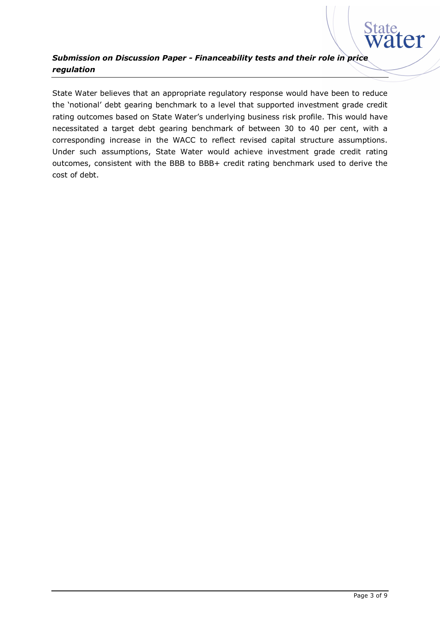

State Water believes that an appropriate regulatory response would have been to reduce the 'notional' debt gearing benchmark to a level that supported investment grade credit rating outcomes based on State Water's underlying business risk profile. This would have necessitated a target debt gearing benchmark of between 30 to 40 per cent, with a corresponding increase in the WACC to reflect revised capital structure assumptions. Under such assumptions, State Water would achieve investment grade credit rating outcomes, consistent with the BBB to BBB+ credit rating benchmark used to derive the cost of debt.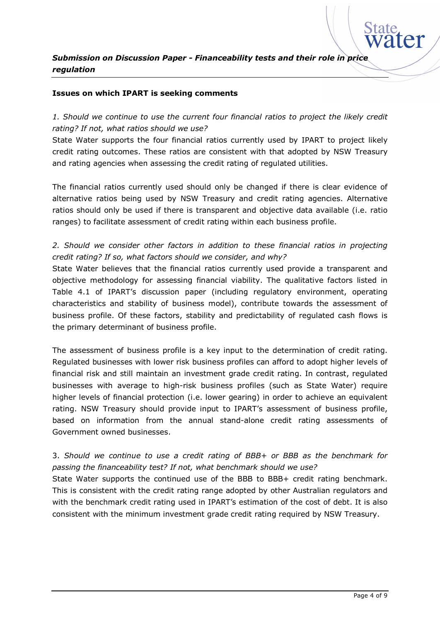#### **Issues on which IPART is seeking comments**

*1. Should we continue to use the current four financial ratios to project the likely credit rating? If not, what ratios should we use?*

State Water supports the four financial ratios currently used by IPART to project likely credit rating outcomes. These ratios are consistent with that adopted by NSW Treasury and rating agencies when assessing the credit rating of regulated utilities.

The financial ratios currently used should only be changed if there is clear evidence of alternative ratios being used by NSW Treasury and credit rating agencies. Alternative ratios should only be used if there is transparent and objective data available (i.e. ratio ranges) to facilitate assessment of credit rating within each business profile.

#### *2. Should we consider other factors in addition to these financial ratios in projecting credit rating? If so, what factors should we consider, and why?*

State Water believes that the financial ratios currently used provide a transparent and objective methodology for assessing financial viability. The qualitative factors listed in Table 4.1 of IPART's discussion paper (including regulatory environment, operating characteristics and stability of business model), contribute towards the assessment of business profile. Of these factors, stability and predictability of regulated cash flows is the primary determinant of business profile.

The assessment of business profile is a key input to the determination of credit rating. Regulated businesses with lower risk business profiles can afford to adopt higher levels of financial risk and still maintain an investment grade credit rating. In contrast, regulated businesses with average to high-risk business profiles (such as State Water) require higher levels of financial protection (i.e. lower gearing) in order to achieve an equivalent rating. NSW Treasury should provide input to IPART's assessment of business profile, based on information from the annual stand-alone credit rating assessments of Government owned businesses.

#### 3. *Should we continue to use a credit rating of BBB+ or BBB as the benchmark for passing the financeability test? If not, what benchmark should we use?*

State Water supports the continued use of the BBB to BBB+ credit rating benchmark. This is consistent with the credit rating range adopted by other Australian regulators and with the benchmark credit rating used in IPART's estimation of the cost of debt. It is also consistent with the minimum investment grade credit rating required by NSW Treasury.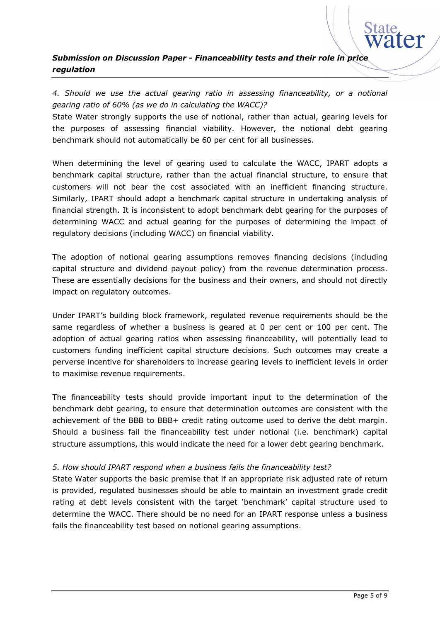

*4. Should we use the actual gearing ratio in assessing financeability, or a notional gearing ratio of 60% (as we do in calculating the WACC)?*

State Water strongly supports the use of notional, rather than actual, gearing levels for the purposes of assessing financial viability. However, the notional debt gearing benchmark should not automatically be 60 per cent for all businesses.

When determining the level of gearing used to calculate the WACC, IPART adopts a benchmark capital structure, rather than the actual financial structure, to ensure that customers will not bear the cost associated with an inefficient financing structure. Similarly, IPART should adopt a benchmark capital structure in undertaking analysis of financial strength. It is inconsistent to adopt benchmark debt gearing for the purposes of determining WACC and actual gearing for the purposes of determining the impact of regulatory decisions (including WACC) on financial viability.

The adoption of notional gearing assumptions removes financing decisions (including capital structure and dividend payout policy) from the revenue determination process. These are essentially decisions for the business and their owners, and should not directly impact on regulatory outcomes.

Under IPART's building block framework, regulated revenue requirements should be the same regardless of whether a business is geared at 0 per cent or 100 per cent. The adoption of actual gearing ratios when assessing financeability, will potentially lead to customers funding inefficient capital structure decisions. Such outcomes may create a perverse incentive for shareholders to increase gearing levels to inefficient levels in order to maximise revenue requirements.

The financeability tests should provide important input to the determination of the benchmark debt gearing, to ensure that determination outcomes are consistent with the achievement of the BBB to BBB+ credit rating outcome used to derive the debt margin. Should a business fail the financeability test under notional (i.e. benchmark) capital structure assumptions, this would indicate the need for a lower debt gearing benchmark.

#### *5. How should IPART respond when a business fails the financeability test?*

State Water supports the basic premise that if an appropriate risk adjusted rate of return is provided, regulated businesses should be able to maintain an investment grade credit rating at debt levels consistent with the target 'benchmark' capital structure used to determine the WACC. There should be no need for an IPART response unless a business fails the financeability test based on notional gearing assumptions.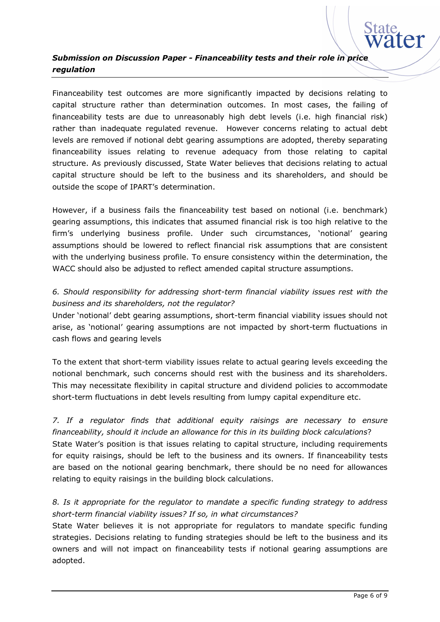

Financeability test outcomes are more significantly impacted by decisions relating to capital structure rather than determination outcomes. In most cases, the failing of financeability tests are due to unreasonably high debt levels (i.e. high financial risk) rather than inadequate regulated revenue. However concerns relating to actual debt levels are removed if notional debt gearing assumptions are adopted, thereby separating financeability issues relating to revenue adequacy from those relating to capital structure. As previously discussed, State Water believes that decisions relating to actual capital structure should be left to the business and its shareholders, and should be outside the scope of IPART's determination.

However, if a business fails the financeability test based on notional (i.e. benchmark) gearing assumptions, this indicates that assumed financial risk is too high relative to the firm's underlying business profile. Under such circumstances, 'notional' gearing assumptions should be lowered to reflect financial risk assumptions that are consistent with the underlying business profile. To ensure consistency within the determination, the WACC should also be adjusted to reflect amended capital structure assumptions.

### *6. Should responsibility for addressing short-term financial viability issues rest with the business and its shareholders, not the regulator?*

Under 'notional' debt gearing assumptions, short-term financial viability issues should not arise, as 'notional' gearing assumptions are not impacted by short-term fluctuations in cash flows and gearing levels

To the extent that short-term viability issues relate to actual gearing levels exceeding the notional benchmark, such concerns should rest with the business and its shareholders. This may necessitate flexibility in capital structure and dividend policies to accommodate short-term fluctuations in debt levels resulting from lumpy capital expenditure etc.

*7. If a regulator finds that additional equity raisings are necessary to ensure financeability, should it include an allowance for this in its building block calculations*? State Water's position is that issues relating to capital structure, including requirements for equity raisings, should be left to the business and its owners. If financeability tests are based on the notional gearing benchmark, there should be no need for allowances relating to equity raisings in the building block calculations.

### *8. Is it appropriate for the regulator to mandate a specific funding strategy to address short-term financial viability issues? If so, in what circumstances?*

State Water believes it is not appropriate for regulators to mandate specific funding strategies. Decisions relating to funding strategies should be left to the business and its owners and will not impact on financeability tests if notional gearing assumptions are adopted.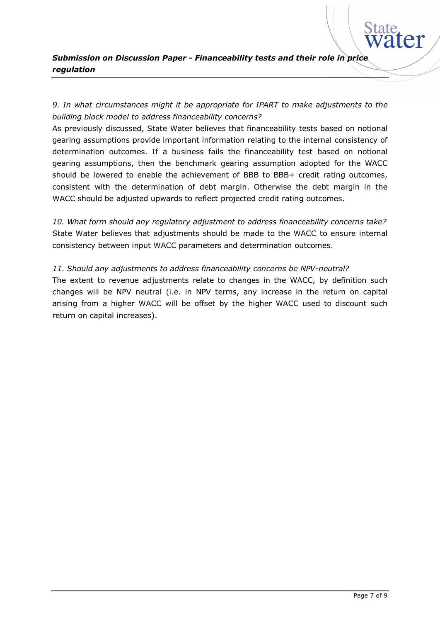# *9. In what circumstances might it be appropriate for IPART to make adjustments to the building block model to address financeability concerns?*

As previously discussed, State Water believes that financeability tests based on notional gearing assumptions provide important information relating to the internal consistency of determination outcomes. If a business fails the financeability test based on notional gearing assumptions, then the benchmark gearing assumption adopted for the WACC should be lowered to enable the achievement of BBB to BBB+ credit rating outcomes, consistent with the determination of debt margin. Otherwise the debt margin in the WACC should be adjusted upwards to reflect projected credit rating outcomes.

*10. What form should any regulatory adjustment to address financeability concerns take?* State Water believes that adjustments should be made to the WACC to ensure internal consistency between input WACC parameters and determination outcomes.

#### *11. Should any adjustments to address financeability concerns be NPV-neutral?*

The extent to revenue adjustments relate to changes in the WACC, by definition such changes will be NPV neutral (i.e. in NPV terms, any increase in the return on capital arising from a higher WACC will be offset by the higher WACC used to discount such return on capital increases).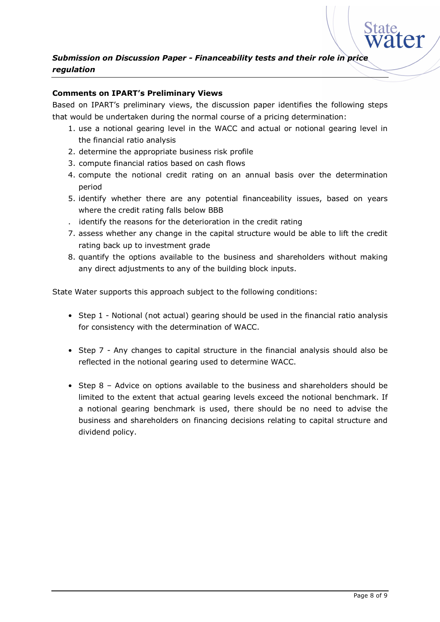

#### **Comments on IPART's Preliminary Views**

Based on IPART's preliminary views, the discussion paper identifies the following steps that would be undertaken during the normal course of a pricing determination:

- 1. use a notional gearing level in the WACC and actual or notional gearing level in the financial ratio analysis
- 2. determine the appropriate business risk profile
- 3. compute financial ratios based on cash flows
- 4. compute the notional credit rating on an annual basis over the determination period
- 5. identify whether there are any potential financeability issues, based on years where the credit rating falls below BBB
- . identify the reasons for the deterioration in the credit rating
- 7. assess whether any change in the capital structure would be able to lift the credit rating back up to investment grade
- 8. quantify the options available to the business and shareholders without making any direct adjustments to any of the building block inputs.

State Water supports this approach subject to the following conditions:

- Step 1 Notional (not actual) gearing should be used in the financial ratio analysis for consistency with the determination of WACC.
- Step 7 Any changes to capital structure in the financial analysis should also be reflected in the notional gearing used to determine WACC.
- Step 8 Advice on options available to the business and shareholders should be limited to the extent that actual gearing levels exceed the notional benchmark. If a notional gearing benchmark is used, there should be no need to advise the business and shareholders on financing decisions relating to capital structure and dividend policy.